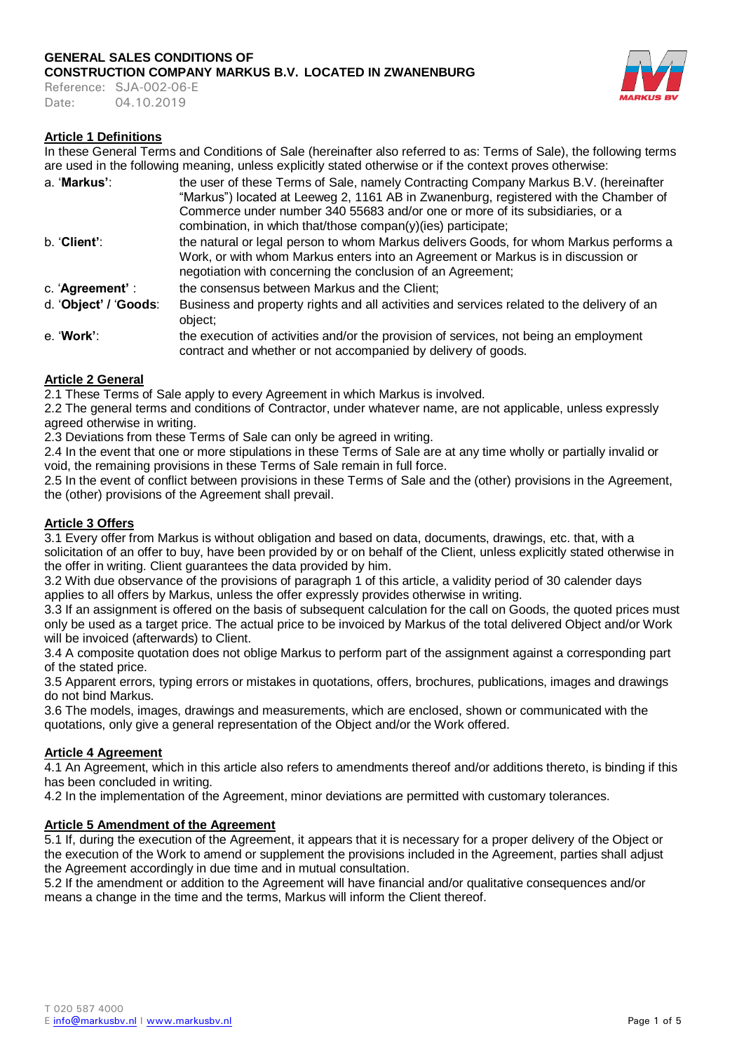Reference: SJA-002-06-E Date: 04.10.2019



### **Article 1 Definitions**

In these General Terms and Conditions of Sale (hereinafter also referred to as: Terms of Sale), the following terms are used in the following meaning, unless explicitly stated otherwise or if the context proves otherwise:

| a. 'Markus':          | the user of these Terms of Sale, namely Contracting Company Markus B.V. (hereinafter<br>"Markus") located at Leeweg 2, 1161 AB in Zwanenburg, registered with the Chamber of                                                             |
|-----------------------|------------------------------------------------------------------------------------------------------------------------------------------------------------------------------------------------------------------------------------------|
|                       | Commerce under number 340 55683 and/or one or more of its subsidiaries, or a<br>combination, in which that/those compan(y)(ies) participate;                                                                                             |
| b. Client':           | the natural or legal person to whom Markus delivers Goods, for whom Markus performs a<br>Work, or with whom Markus enters into an Agreement or Markus is in discussion or<br>negotiation with concerning the conclusion of an Agreement; |
| c. 'Agreement' :      | the consensus between Markus and the Client;                                                                                                                                                                                             |
| d. 'Object' / 'Goods: | Business and property rights and all activities and services related to the delivery of an<br>object;                                                                                                                                    |
| e. 'Work':            | the execution of activities and/or the provision of services, not being an employment<br>contract and whether or not accompanied by delivery of goods.                                                                                   |

### **Article 2 General**

2.1 These Terms of Sale apply to every Agreement in which Markus is involved.

2.2 The general terms and conditions of Contractor, under whatever name, are not applicable, unless expressly agreed otherwise in writing.

2.3 Deviations from these Terms of Sale can only be agreed in writing.

2.4 In the event that one or more stipulations in these Terms of Sale are at any time wholly or partially invalid or void, the remaining provisions in these Terms of Sale remain in full force.

2.5 In the event of conflict between provisions in these Terms of Sale and the (other) provisions in the Agreement, the (other) provisions of the Agreement shall prevail.

### **Article 3 Offers**

3.1 Every offer from Markus is without obligation and based on data, documents, drawings, etc. that, with a solicitation of an offer to buy, have been provided by or on behalf of the Client, unless explicitly stated otherwise in the offer in writing. Client guarantees the data provided by him.

3.2 With due observance of the provisions of paragraph 1 of this article, a validity period of 30 calender days applies to all offers by Markus, unless the offer expressly provides otherwise in writing.

3.3 If an assignment is offered on the basis of subsequent calculation for the call on Goods, the quoted prices must only be used as a target price. The actual price to be invoiced by Markus of the total delivered Object and/or Work will be invoiced (afterwards) to Client.

3.4 A composite quotation does not oblige Markus to perform part of the assignment against a corresponding part of the stated price.

3.5 Apparent errors, typing errors or mistakes in quotations, offers, brochures, publications, images and drawings do not bind Markus.

3.6 The models, images, drawings and measurements, which are enclosed, shown or communicated with the quotations, only give a general representation of the Object and/or the Work offered.

### **Article 4 Agreement**

4.1 An Agreement, which in this article also refers to amendments thereof and/or additions thereto, is binding if this has been concluded in writing.

4.2 In the implementation of the Agreement, minor deviations are permitted with customary tolerances.

### **Article 5 Amendment of the Agreement**

5.1 If, during the execution of the Agreement, it appears that it is necessary for a proper delivery of the Object or the execution of the Work to amend or supplement the provisions included in the Agreement, parties shall adjust the Agreement accordingly in due time and in mutual consultation.

5.2 If the amendment or addition to the Agreement will have financial and/or qualitative consequences and/or means a change in the time and the terms, Markus will inform the Client thereof.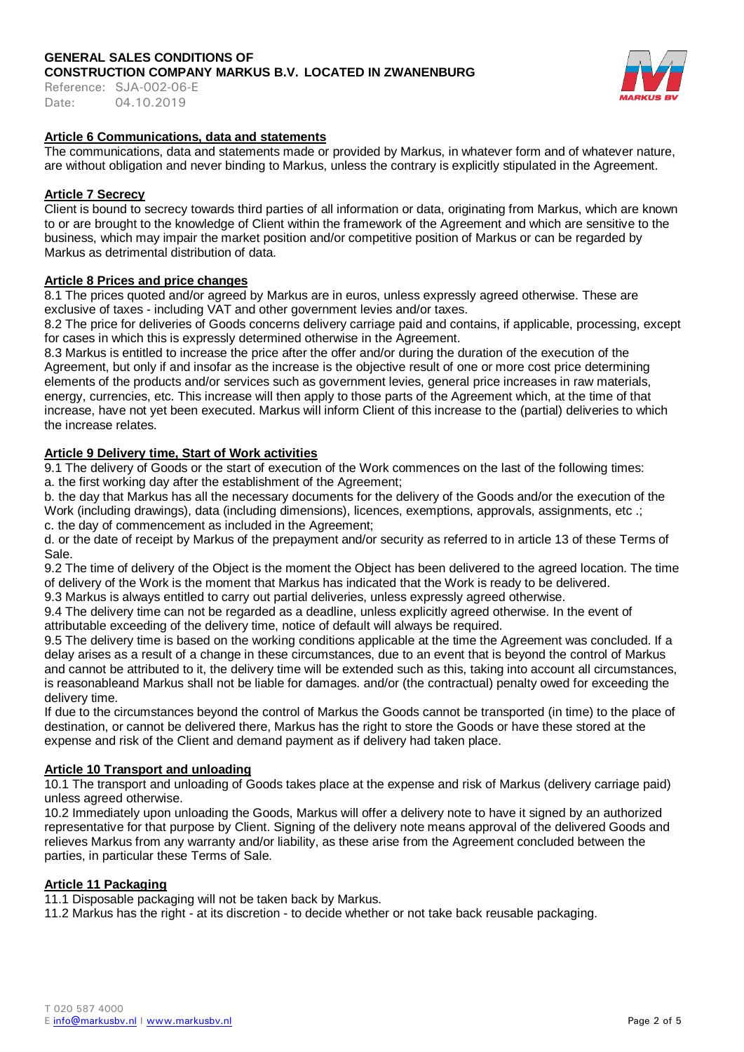Reference: SJA-002-06-E Date: 04.10.2019



### **Article 6 Communications, data and statements**

The communications, data and statements made or provided by Markus, in whatever form and of whatever nature, are without obligation and never binding to Markus, unless the contrary is explicitly stipulated in the Agreement.

### **Article 7 Secrecy**

Client is bound to secrecy towards third parties of all information or data, originating from Markus, which are known to or are brought to the knowledge of Client within the framework of the Agreement and which are sensitive to the business, which may impair the market position and/or competitive position of Markus or can be regarded by Markus as detrimental distribution of data.

### **Article 8 Prices and price changes**

8.1 The prices quoted and/or agreed by Markus are in euros, unless expressly agreed otherwise. These are exclusive of taxes - including VAT and other government levies and/or taxes.

8.2 The price for deliveries of Goods concerns delivery carriage paid and contains, if applicable, processing, except for cases in which this is expressly determined otherwise in the Agreement.

8.3 Markus is entitled to increase the price after the offer and/or during the duration of the execution of the Agreement, but only if and insofar as the increase is the objective result of one or more cost price determining elements of the products and/or services such as government levies, general price increases in raw materials, energy, currencies, etc. This increase will then apply to those parts of the Agreement which, at the time of that increase, have not yet been executed. Markus will inform Client of this increase to the (partial) deliveries to which the increase relates.

### **Article 9 Delivery time, Start of Work activities**

9.1 The delivery of Goods or the start of execution of the Work commences on the last of the following times: a. the first working day after the establishment of the Agreement;

b. the day that Markus has all the necessary documents for the delivery of the Goods and/or the execution of the Work (including drawings), data (including dimensions), licences, exemptions, approvals, assignments, etc .; c. the day of commencement as included in the Agreement;

d. or the date of receipt by Markus of the prepayment and/or security as referred to in article 13 of these Terms of Sale.

9.2 The time of delivery of the Object is the moment the Object has been delivered to the agreed location. The time of delivery of the Work is the moment that Markus has indicated that the Work is ready to be delivered.

9.3 Markus is always entitled to carry out partial deliveries, unless expressly agreed otherwise.

9.4 The delivery time can not be regarded as a deadline, unless explicitly agreed otherwise. In the event of attributable exceeding of the delivery time, notice of default will always be required.

9.5 The delivery time is based on the working conditions applicable at the time the Agreement was concluded. If a delay arises as a result of a change in these circumstances, due to an event that is beyond the control of Markus and cannot be attributed to it, the delivery time will be extended such as this, taking into account all circumstances, is reasonableand Markus shall not be liable for damages. and/or (the contractual) penalty owed for exceeding the delivery time.

If due to the circumstances beyond the control of Markus the Goods cannot be transported (in time) to the place of destination, or cannot be delivered there, Markus has the right to store the Goods or have these stored at the expense and risk of the Client and demand payment as if delivery had taken place.

### **Article 10 Transport and unloading**

10.1 The transport and unloading of Goods takes place at the expense and risk of Markus (delivery carriage paid) unless agreed otherwise.

10.2 Immediately upon unloading the Goods, Markus will offer a delivery note to have it signed by an authorized representative for that purpose by Client. Signing of the delivery note means approval of the delivered Goods and relieves Markus from any warranty and/or liability, as these arise from the Agreement concluded between the parties, in particular these Terms of Sale.

### **Article 11 Packaging**

11.1 Disposable packaging will not be taken back by Markus.

11.2 Markus has the right - at its discretion - to decide whether or not take back reusable packaging.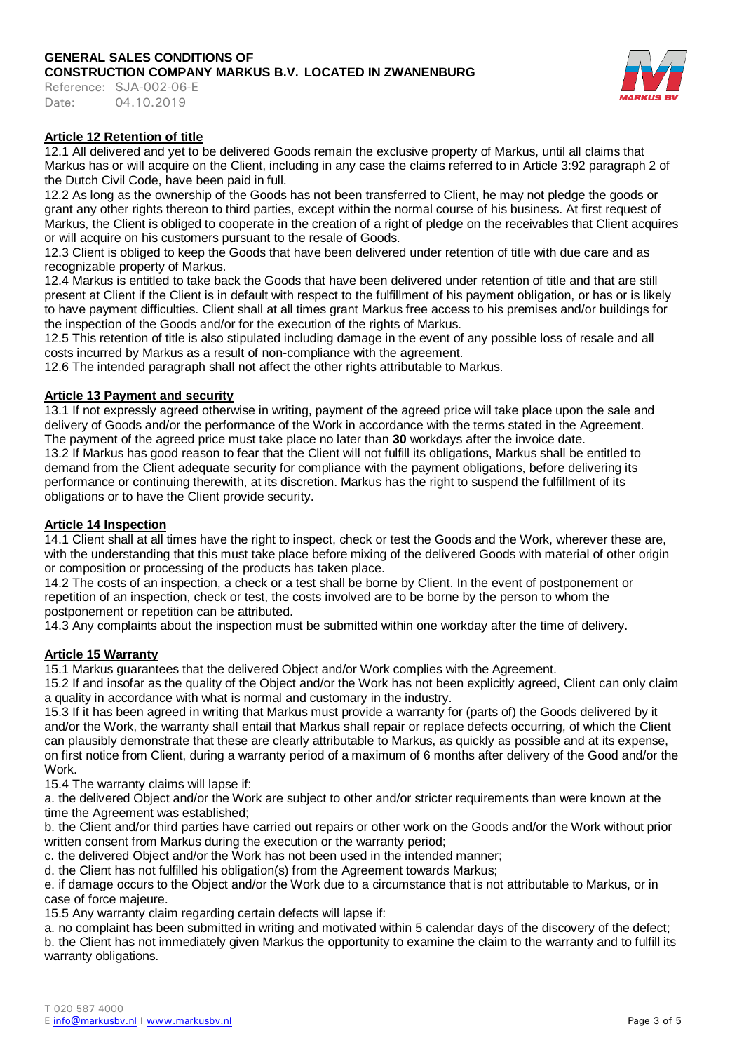Reference: SJA-002-06-E Date: 04.10.2019



# **Article 12 Retention of title**

12.1 All delivered and yet to be delivered Goods remain the exclusive property of Markus, until all claims that Markus has or will acquire on the Client, including in any case the claims referred to in Article 3:92 paragraph 2 of the Dutch Civil Code, have been paid in full.

12.2 As long as the ownership of the Goods has not been transferred to Client, he may not pledge the goods or grant any other rights thereon to third parties, except within the normal course of his business. At first request of Markus, the Client is obliged to cooperate in the creation of a right of pledge on the receivables that Client acquires or will acquire on his customers pursuant to the resale of Goods.

12.3 Client is obliged to keep the Goods that have been delivered under retention of title with due care and as recognizable property of Markus.

12.4 Markus is entitled to take back the Goods that have been delivered under retention of title and that are still present at Client if the Client is in default with respect to the fulfillment of his payment obligation, or has or is likely to have payment difficulties. Client shall at all times grant Markus free access to his premises and/or buildings for the inspection of the Goods and/or for the execution of the rights of Markus.

12.5 This retention of title is also stipulated including damage in the event of any possible loss of resale and all costs incurred by Markus as a result of non-compliance with the agreement.

12.6 The intended paragraph shall not affect the other rights attributable to Markus.

### **Article 13 Payment and security**

13.1 If not expressly agreed otherwise in writing, payment of the agreed price will take place upon the sale and delivery of Goods and/or the performance of the Work in accordance with the terms stated in the Agreement. The payment of the agreed price must take place no later than **30** workdays after the invoice date.

13.2 If Markus has good reason to fear that the Client will not fulfill its obligations, Markus shall be entitled to demand from the Client adequate security for compliance with the payment obligations, before delivering its performance or continuing therewith, at its discretion. Markus has the right to suspend the fulfillment of its obligations or to have the Client provide security.

### **Article 14 Inspection**

14.1 Client shall at all times have the right to inspect, check or test the Goods and the Work, wherever these are, with the understanding that this must take place before mixing of the delivered Goods with material of other origin or composition or processing of the products has taken place.

14.2 The costs of an inspection, a check or a test shall be borne by Client. In the event of postponement or repetition of an inspection, check or test, the costs involved are to be borne by the person to whom the postponement or repetition can be attributed.

14.3 Any complaints about the inspection must be submitted within one workday after the time of delivery.

### **Article 15 Warranty**

15.1 Markus guarantees that the delivered Object and/or Work complies with the Agreement.

15.2 If and insofar as the quality of the Object and/or the Work has not been explicitly agreed, Client can only claim a quality in accordance with what is normal and customary in the industry.

15.3 If it has been agreed in writing that Markus must provide a warranty for (parts of) the Goods delivered by it and/or the Work, the warranty shall entail that Markus shall repair or replace defects occurring, of which the Client can plausibly demonstrate that these are clearly attributable to Markus, as quickly as possible and at its expense, on first notice from Client, during a warranty period of a maximum of 6 months after delivery of the Good and/or the Work.

15.4 The warranty claims will lapse if:

a. the delivered Object and/or the Work are subject to other and/or stricter requirements than were known at the time the Agreement was established;

b. the Client and/or third parties have carried out repairs or other work on the Goods and/or the Work without prior written consent from Markus during the execution or the warranty period;

c. the delivered Object and/or the Work has not been used in the intended manner;

d. the Client has not fulfilled his obligation(s) from the Agreement towards Markus;

e. if damage occurs to the Object and/or the Work due to a circumstance that is not attributable to Markus, or in case of force majeure.

15.5 Any warranty claim regarding certain defects will lapse if:

a. no complaint has been submitted in writing and motivated within 5 calendar days of the discovery of the defect; b. the Client has not immediately given Markus the opportunity to examine the claim to the warranty and to fulfill its warranty obligations.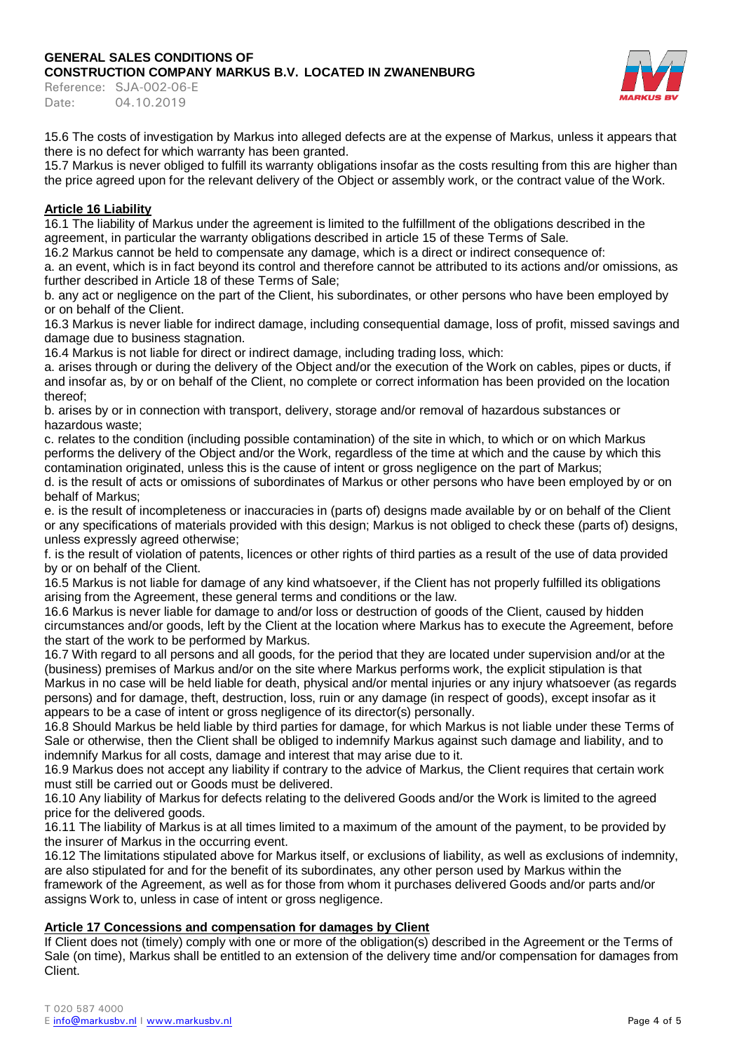Reference: SJA-002-06-E Date: 04.10.2019



15.6 The costs of investigation by Markus into alleged defects are at the expense of Markus, unless it appears that there is no defect for which warranty has been granted.

15.7 Markus is never obliged to fulfill its warranty obligations insofar as the costs resulting from this are higher than the price agreed upon for the relevant delivery of the Object or assembly work, or the contract value of the Work.

# **Article 16 Liability**

16.1 The liability of Markus under the agreement is limited to the fulfillment of the obligations described in the agreement, in particular the warranty obligations described in article 15 of these Terms of Sale.

16.2 Markus cannot be held to compensate any damage, which is a direct or indirect consequence of:

a. an event, which is in fact beyond its control and therefore cannot be attributed to its actions and/or omissions, as further described in Article 18 of these Terms of Sale;

b. any act or negligence on the part of the Client, his subordinates, or other persons who have been employed by or on behalf of the Client.

16.3 Markus is never liable for indirect damage, including consequential damage, loss of profit, missed savings and damage due to business stagnation.

16.4 Markus is not liable for direct or indirect damage, including trading loss, which:

a. arises through or during the delivery of the Object and/or the execution of the Work on cables, pipes or ducts, if and insofar as, by or on behalf of the Client, no complete or correct information has been provided on the location thereof;

b. arises by or in connection with transport, delivery, storage and/or removal of hazardous substances or hazardous waste;

c. relates to the condition (including possible contamination) of the site in which, to which or on which Markus performs the delivery of the Object and/or the Work, regardless of the time at which and the cause by which this contamination originated, unless this is the cause of intent or gross negligence on the part of Markus;

d. is the result of acts or omissions of subordinates of Markus or other persons who have been employed by or on behalf of Markus;

e. is the result of incompleteness or inaccuracies in (parts of) designs made available by or on behalf of the Client or any specifications of materials provided with this design; Markus is not obliged to check these (parts of) designs, unless expressly agreed otherwise;

f. is the result of violation of patents, licences or other rights of third parties as a result of the use of data provided by or on behalf of the Client.

16.5 Markus is not liable for damage of any kind whatsoever, if the Client has not properly fulfilled its obligations arising from the Agreement, these general terms and conditions or the law.

16.6 Markus is never liable for damage to and/or loss or destruction of goods of the Client, caused by hidden circumstances and/or goods, left by the Client at the location where Markus has to execute the Agreement, before the start of the work to be performed by Markus.

16.7 With regard to all persons and all goods, for the period that they are located under supervision and/or at the (business) premises of Markus and/or on the site where Markus performs work, the explicit stipulation is that Markus in no case will be held liable for death, physical and/or mental injuries or any injury whatsoever (as regards persons) and for damage, theft, destruction, loss, ruin or any damage (in respect of goods), except insofar as it appears to be a case of intent or gross negligence of its director(s) personally.

16.8 Should Markus be held liable by third parties for damage, for which Markus is not liable under these Terms of Sale or otherwise, then the Client shall be obliged to indemnify Markus against such damage and liability, and to indemnify Markus for all costs, damage and interest that may arise due to it.

16.9 Markus does not accept any liability if contrary to the advice of Markus, the Client requires that certain work must still be carried out or Goods must be delivered.

16.10 Any liability of Markus for defects relating to the delivered Goods and/or the Work is limited to the agreed price for the delivered goods.

16.11 The liability of Markus is at all times limited to a maximum of the amount of the payment, to be provided by the insurer of Markus in the occurring event.

16.12 The limitations stipulated above for Markus itself, or exclusions of liability, as well as exclusions of indemnity, are also stipulated for and for the benefit of its subordinates, any other person used by Markus within the framework of the Agreement, as well as for those from whom it purchases delivered Goods and/or parts and/or assigns Work to, unless in case of intent or gross negligence.

### **Article 17 Concessions and compensation for damages by Client**

If Client does not (timely) comply with one or more of the obligation(s) described in the Agreement or the Terms of Sale (on time), Markus shall be entitled to an extension of the delivery time and/or compensation for damages from Client.